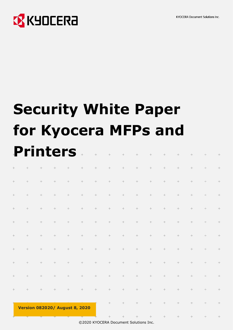**KYOCERA Document Solutions Inc.** 



# **Security White Paper for Kyocera MFPs and Printers**

| $\! +$ | $\! +$  | $\hspace{0.025cm} +$ | $\boldsymbol{+}$     | $\! +$                                | $\! +$           | $\! +$           | $\hspace{0.025cm} +$ | $\! +$               | $\hspace{0.025cm} +$ | $\! +$               | $\! +$               | $\hspace{0.025cm} +$ | $\! +$           | $\! +$           | $\! +$ |
|--------|---------|----------------------|----------------------|---------------------------------------|------------------|------------------|----------------------|----------------------|----------------------|----------------------|----------------------|----------------------|------------------|------------------|--------|
| $\! +$ | $\!+$   | $\! +$               | $\hspace{0.025cm} +$ | $\! +$                                | $\! +$           | $\! +$           | $\! +$               | $\! +$               | $\! +$               | $\! +$               | $\! +$               | $\! +$               | $\! +$           | $\! +$           | $\! +$ |
| $\! +$ | $\!+\!$ | $\! +$               | $\hspace{0.025cm} +$ | $\! +$                                | $\! +$           | $\! +$           | $\! +$               | $\! +$               | $\! +$               | $\hspace{0.05cm} +$  | $\hspace{0.025cm} +$ | $\boldsymbol{+}$     | $\! +$           | $\! +$           | $\! +$ |
| $\, +$ | $\! +$  | $\!+$                | $\boldsymbol{+}$     | $\! +$                                | $\boldsymbol{+}$ | $\! +$           | $\boldsymbol{+}$     | $\hspace{0.025cm} +$ | $\boldsymbol{+}$     | $\hspace{0.025cm} +$ | $\boldsymbol{+}$     | $\hspace{0.025cm} +$ | $\! +$           | $^+$             | $\! +$ |
| $\! +$ | $\! +$  | $\!+$                | $\hspace{0.025cm} +$ | $\hspace{0.02cm} +$                   | $\! +$           | $\boldsymbol{+}$ | $\boldsymbol{+}$     | $\! +$               | $\hspace{0.05cm} +$  | $\boldsymbol{+}$     | $\!+$                | $\! +$               | $\! +$           | $\! +$           | $\! +$ |
| $\! +$ | $\! +$  | $\! +$               | $\! +$               | $\! +$                                | $\!+$            | $\! +$           | $\hspace{0.1mm} +$   | $\! +$               | $\! +$               | $\! +$               | $\! +$               | $\boldsymbol{+}$     | $\! +$           | $\! +$           | $\! +$ |
| $\! +$ | $\!+$   | $\! +$               | $\! +$               | $\!+$                                 | $\!+$            | $\! +$           | $\! +$               | $\! +$               | $\! +$               | $\! +$               | $\! +$               | $\! +$               | $\! +$           | $\! +$           | $\! +$ |
| $\! +$ | $\! +$  | $\! +$               | $\! +$               | $\! +$                                | $\!+$            | $\! +$           | $\!+$                | $^+ \,$              | $\! +$               | $\! +$               | $\! +$               | $\! +$               | $\! +$           | $\! +$           | $\! +$ |
| $\! +$ | $\! +$  | $\! +$               | $\boldsymbol{+}$     | $\! +$                                | $\! +$           | $\!+$            | $\boldsymbol{+}$     | $\! +$               | $\hspace{0.025cm} +$ | $\hspace{0.025cm} +$ | $\! +$               | $\boldsymbol{+}$     | $\! +$           | $\! +$           | $\! +$ |
| $\! +$ | $\! +$  | $\boldsymbol{+}$     | $\boldsymbol{+}$     | $\boldsymbol{+}$                      | $\! +$           | $\! +$           | $\hspace{0.1mm} +$   | $\hspace{0.025cm} +$ | $\! +$               | $\boldsymbol{+}$     | $\hspace{0.025cm} +$ | $\boldsymbol{+}$     | $\boldsymbol{+}$ | $\boldsymbol{+}$ | $\! +$ |
|        |         |                      |                      | <b>Version 082020/ August 8, 2020</b> |                  |                  | $\! +$               | $\! +$               | $\! +$               | $\! +$               | $\! +$               | $\boldsymbol{+}$     | $\! +$           | $\! +$           | $\! +$ |
|        |         |                      |                      |                                       |                  |                  |                      |                      |                      |                      |                      |                      |                  |                  |        |

©2020 KYOCERA Document Solutions Inc.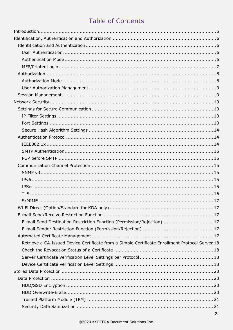## **Table of Contents**

| E-mail Send Destination Restriction Function (Permission/Rejection) 17                          |  |
|-------------------------------------------------------------------------------------------------|--|
|                                                                                                 |  |
|                                                                                                 |  |
| Retrieve a CA-Issued Device Certificate from a Simple Certificate Enrollment Protocol Server 18 |  |
|                                                                                                 |  |
|                                                                                                 |  |
|                                                                                                 |  |
|                                                                                                 |  |
|                                                                                                 |  |
|                                                                                                 |  |
|                                                                                                 |  |
|                                                                                                 |  |
|                                                                                                 |  |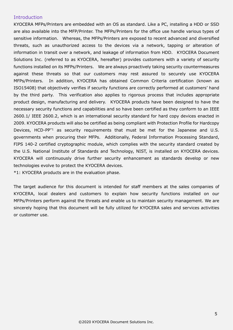## <span id="page-4-0"></span>Introduction

KYOCERA MFPs/Printers are embedded with an OS as standard. Like a PC, installing a HDD or SSD are also available into the MFP/Printer. The MFPs/Printers for the office use handle various types of sensitive information. Whereas, the MFPs/Printers are exposed to recent advanced and diversified threats, such as unauthorized access to the devices via a network, tapping or alteration of information in transit over a network, and leakage of information from HDD. KYOCERA Document Solutions Inc. (referred to as KYOCERA, hereafter) provides customers with a variety of security functions installed on its MFPs/Printers. We are always proactively taking security countermeasures against these threats so that our customers may rest assured to securely use KYOCERA MFPs/Printers. In addition, KYOCERA has obtained Common Criteria certification (known as ISO15408) that objectively verifies if security functions are correctly performed at customers' hand by the third party. This verification also applies to rigorous process that includes appropriate product design, manufacturing and delivery. KYOCERA products have been designed to have the necessary security functions and capabilities and so have been certified as they conform to an IEEE 2600.1/ IEEE 2600.2, which is an international security standard for hard copy devices enacted in 2009. KYOCERA products will also be certified as being compliant with Protection Profile for Hardcopy Devices, HCD-PP\*1 as security requirements that must be met for the Japanese and U.S. governments when procuring their MFPs. Additionally, Federal Information Processing Standard, FIPS 140-2 certified cryptographic module, which complies with the security standard created by the U.S. National Institute of Standards and Technology, NIST, is installed on KYOCERA devices. KYOCERA will continuously drive further security enhancement as standards develop or new technologies evolve to protect the KYOCERA devices.

\*1: KYOCERA products are in the evaluation phase.

The target audience for this document is intended for staff members at the sales companies of KYOCERA, local dealers and customers to explain how security functions installed on our MFPs/Printers perform against the threats and enable us to maintain security management. We are sincerely hoping that this document will be fully utilized for KYOCERA sales and services activities or customer use.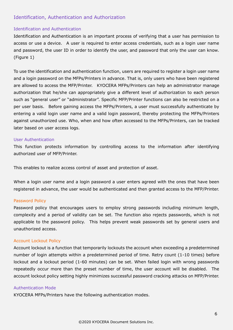## <span id="page-5-1"></span><span id="page-5-0"></span>Identification, Authentication and Authorization

#### Identification and Authentication

Identification and Authentication is an important process of verifying that a user has permission to access or use a device. A user is required to enter access credentials, such as a login user name and password, the user ID in order to identify the user, and password that only the user can know. (Figure 1)

To use the identification and authentication function, users are required to register a login user name and a login password on the MFPs/Printers in advance. That is, only users who have been registered are allowed to access the MFP/Printer. KYOCERA MFPs/Printers can help an administrator manage authorization that he/she can appropriately give a different level of authorization to each person such as "general user" or "administrator". Specific MFP/Printer functions can also be restricted on a per user basis. Before gaining access the MFPs/Printers, a user must successfully authenticate by entering a valid login user name and a valid login password, thereby protecting the MFPs/Printers against unauthorized use. Who, when and how often accessed to the MFPs/Printers, can be tracked later based on user access logs.

#### <span id="page-5-2"></span>User Authentication

This function protects information by controlling access to the information after identifying authorized user of MFP/Printer.

This enables to realize access control of asset and protection of asset.

When a login user name and a login password a user enters agreed with the ones that have been registered in advance, the user would be authenticated and then granted access to the MFP/Printer.

#### Password Policy

Password policy that encourages users to employ strong passwords including minimum length, complexity and a period of validity can be set. The function also rejects passwords, which is not applicable to the password policy. This helps prevent weak passwords set by general users and unauthorized access.

#### Account Lockout Policy

Account lockout is a function that temporarily lockouts the account when exceeding a predetermined number of login attempts within a predetermined period of time. Retry count (1-10 times) before lockout and a lockout period (1-60 minutes) can be set. When failed login with wrong passwords repeatedly occur more than the preset number of time, the user account will be disabled. The account lockout policy setting highly minimizes successful password cracking attacks on MFP/Printer.

#### <span id="page-5-3"></span>Authentication Mode

KYOCERA MFPs/Printers have the following authentication modes.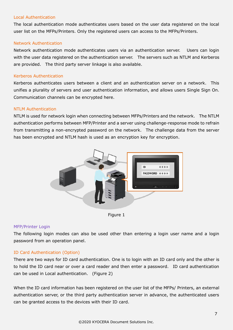#### Local Authentication

The local authentication mode authenticates users based on the user data registered on the local user list on the MFPs/Printers. Only the registered users can access to the MFPs/Printers.

#### Network Authentication

Network authentication mode authenticates users via an authentication server. Users can login with the user data registered on the authentication server. The servers such as NTLM and Kerberos are provided. The third party server linkage is also available.

#### Kerberos Authentication

Kerberos authenticates users between a client and an authentication server on a network. This unifies a plurality of servers and user authentication information, and allows users Single Sign On. Communication channels can be encrypted here.

#### NTLM Authentication

NTLM is used for network login when connecting between MFPs/Printers and the network. The NTLM authentication performs between MFP/Printer and a server using challenge-response mode to refrain from transmitting a non-encrypted password on the network. The challenge data from the server has been encrypted and NTLM hash is used as an encryption key for encryption.





#### <span id="page-6-0"></span>MFP/Printer Login

The following login modes can also be used other than entering a login user name and a login password from an operation panel.

#### ID Card Authentication (Option)

There are two ways for ID card authentication. One is to login with an ID card only and the other is to hold the ID card near or over a card reader and then enter a password. ID card authentication can be used in Local authentication. (Figure 2)

When the ID card information has been registered on the user list of the MFPs/ Printers, an external authentication server, or the third party authentication server in advance, the authenticated users can be granted access to the devices with their ID card.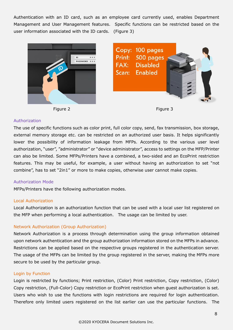Authentication with an ID card, such as an employee card currently used, enables Department Management and User Management features. Specific functions can be restricted based on the user information associated with the ID cards. (Figure 3)









#### <span id="page-7-0"></span>Authorization

The use of specific functions such as color print, full color copy, send, fax transmission, box storage, external memory storage etc. can be restricted on an authorized user basis. It helps significantly lower the possibility of information leakage from MFPs. According to the various user level authorization, "user", "administrator" or "device administrator", access to settings on the MFP/Printer can also be limited. Some MFPs/Printers have a combined, a two-sided and an EcoPrint restriction features. This may be useful, for example, a user without having an authorization to set "not combine", has to set "2in1" or more to make copies, otherwise user cannot make copies.

## <span id="page-7-1"></span>Authorization Mode

MFPs/Printers have the following authorization modes.

#### Local Authorization

Local Authorization is an authorization function that can be used with a local user list registered on the MFP when performing a local authentication. The usage can be limited by user.

## Network Authorization (Group Authorization)

Network Authorization is a process through determination using the group information obtained upon network authentication and the group authorization information stored on the MFPs in advance. Restrictions can be applied based on the respective groups registered in the authentication server. The usage of the MFPs can be limited by the group registered in the server, making the MFPs more secure to be used by the particular group.

## Login by Function

Login is restricted by functions; Print restriction, (Color) Print restriction, Copy restriction, (Color) Copy restriction, (Full-Color) Copy restriction or EcoPrint restriction when guest authorization is set. Users who wish to use the functions with login restrictions are required for login authentication. Therefore only limited users registered on the list earlier can use the particular functions. The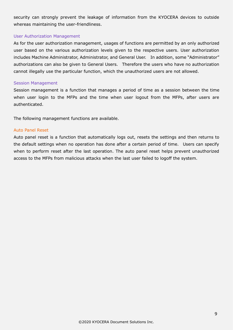security can strongly prevent the leakage of information from the KYOCERA devices to outside whereas maintaining the user-friendliness.

#### <span id="page-8-0"></span>User Authorization Management

As for the user authorization management, usages of functions are permitted by an only authorized user based on the various authorization levels given to the respective users. User authorization includes Machine Administrator, Administrator, and General User. In addition, some "Administrator" authorizations can also be given to General Users. Therefore the users who have no authorization cannot illegally use the particular function, which the unauthorized users are not allowed.

#### <span id="page-8-1"></span>Session Management

Session management is a function that manages a period of time as a session between the time when user login to the MFPs and the time when user logout from the MFPs, after users are authenticated.

The following management functions are available.

#### Auto Panel Reset

Auto panel reset is a function that automatically logs out, resets the settings and then returns to the default settings when no operation has done after a certain period of time. Users can specify when to perform reset after the last operation. The auto panel reset helps prevent unauthorized access to the MFPs from malicious attacks when the last user failed to logoff the system.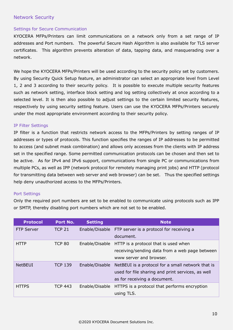## <span id="page-9-1"></span><span id="page-9-0"></span>Network Security

#### Settings for Secure Communication

KYOCERA MFPs/Printers can limit communications on a network only from a set range of IP addresses and Port numbers. The powerful Secure Hash Algorithm is also available for TLS server certificates. This algorithm prevents alteration of data, tapping data, and masquerading over a network.

We hope the KYOCERA MFPs/Printers will be used according to the security policy set by customers. By using Security Quick Setup feature, an administrator can select an appropriate level from Level 1, 2 and 3 according to their security policy. It is possible to execute multiple security features such as network setting, interface block setting and log setting collectively at once according to a selected level. It is then also possible to adjust settings to the certain limited security features, respectively by using security setting feature. Users can use the KYOCERA MFPs/Printers securely under the most appropriate environment according to their security policy.

#### <span id="page-9-2"></span>IP Filter Settings

IP filter is a function that restricts network access to the MFPs/Printers by setting ranges of IP addresses or types of protocols. This function specifies the ranges of IP addresses to be permitted to access (and subnet mask combination) and allows only accesses from the clients with IP address set in the specified range. Some permitted communication protocols can be chosen and then set to be active. As for IPv4 and IPv6 support, communications from single PC or communications from multiple PCs, as well as IPP (network protocol for remotely managing print jobs) and HTTP (protocol for transmitting data between web server and web browser) can be set. Thus the specified settings help deny unauthorized access to the MFPs/Printers.

#### <span id="page-9-3"></span>Port Settings

Only the required port numbers are set to be enabled to communicate using protocols such as IPP or SMTP, thereby disabling port numbers which are not set to be enabled.

| <b>Protocol</b>   | Port No.       | <b>Setting</b> | <b>Note</b>                                             |
|-------------------|----------------|----------------|---------------------------------------------------------|
| <b>FTP Server</b> | <b>TCP 21</b>  |                | Enable/Disable FTP server is a protocol for receiving a |
|                   |                |                | document.                                               |
| <b>HTTP</b>       | <b>TCP 80</b>  |                | Enable/Disable HTTP is a protocol that is used when     |
|                   |                |                | receiving/sending data from a web page between          |
|                   |                |                | www server and browser.                                 |
| <b>NetBEUI</b>    | <b>TCP 139</b> | Enable/Disable | NetBEUI is a protocol for a small network that is       |
|                   |                |                | used for file sharing and print services, as well       |
|                   |                |                | as for receiving a document.                            |
| <b>HTTPS</b>      | <b>TCP 443</b> | Enable/Disable | HTTPS is a protocol that performs encryption            |
|                   |                |                | using TLS.                                              |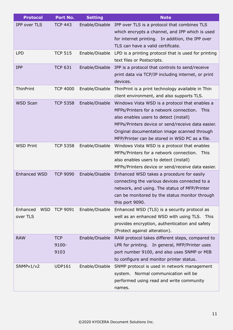| <b>Protocol</b>        | Port No.        | <b>Setting</b> | <b>Note</b>                                            |
|------------------------|-----------------|----------------|--------------------------------------------------------|
| IPP over TLS           | <b>TCP 443</b>  | Enable/Disable | IPP over TLS is a protocol that combines TLS           |
|                        |                 |                | which encrypts a channel, and IPP which is used        |
|                        |                 |                | for internet printing. In addition, the IPP over       |
|                        |                 |                | TLS can have a valid certificate.                      |
| <b>LPD</b>             | <b>TCP 515</b>  | Enable/Disable | LPD is a printing protocol that is used for printing   |
|                        |                 |                | text files or Postscripts.                             |
| <b>IPP</b>             | <b>TCP 631</b>  | Enable/Disable | IPP is a protocol that controls to send/receive        |
|                        |                 |                | print data via TCP/IP including internet, or print     |
|                        |                 |                | devices.                                               |
| ThinPrint              | <b>TCP 4000</b> | Enable/Disable | ThinPrint is a print technology available in Thin      |
|                        |                 |                | client environment, and also supports TLS.             |
| <b>WSD Scan</b>        | <b>TCP 5358</b> | Enable/Disable | Windows Vista WSD is a protocol that enables a         |
|                        |                 |                | MFPs/Printers for a network connection.<br><b>This</b> |
|                        |                 |                | also enables users to detect (install)                 |
|                        |                 |                | MFPs/Printers device or send/receive data easier.      |
|                        |                 |                | Original documentation image scanned through           |
|                        |                 |                | MFP/Printer can be stored in WSD PC as a file.         |
| <b>WSD Print</b>       | <b>TCP 5358</b> | Enable/Disable | Windows Vista WSD is a protocol that enables           |
|                        |                 |                | MFPs/Printers for a network connection. This           |
|                        |                 |                | also enables users to detect (install)                 |
|                        |                 |                | MFPs/Printers device or send/receive data easier.      |
| <b>Enhanced WSD</b>    | <b>TCP 9090</b> | Enable/Disable | Enhanced WSD takes a procedure for easily              |
|                        |                 |                | connecting the various devices connected to a          |
|                        |                 |                | network, and using. The status of MFP/Printer          |
|                        |                 |                | can be monitored by the status monitor through         |
|                        |                 |                | this port 9090.                                        |
| Enhanced<br><b>WSD</b> | <b>TCP 9091</b> | Enable/Disable | Enhanced WSD (TLS) is a security protocol as           |
| over TLS               |                 |                | well as an enhanced WSD with using TLS. This           |
|                        |                 |                | provides encryption, authentication and safety         |
|                        |                 |                | (Protect against alteration).                          |
| <b>RAW</b>             | <b>TCP</b>      | Enable/Disable | RAW protocol takes different steps, compared to        |
|                        | 9100-           |                | LPR for printing. In general, MFP/Printer uses         |
|                        | 9103            |                | port number 9100, and also uses SNMP or MIB            |
|                        |                 |                | to configure and monitor printer status.               |
| SNMPv1/v2              | <b>UDP161</b>   | Enable/Disable | SNMP protocol is used in network management            |
|                        |                 |                | Normal communication will be<br>system.                |
|                        |                 |                | performed using read and write community               |
|                        |                 |                | names.                                                 |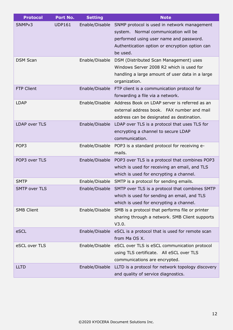| <b>Protocol</b>      | Port No.      | <b>Setting</b> | <b>Note</b>                                                   |
|----------------------|---------------|----------------|---------------------------------------------------------------|
| SNMP <sub>v3</sub>   | <b>UDP161</b> | Enable/Disable | SNMP protocol is used in network management                   |
|                      |               |                | Normal communication will be<br>system.                       |
|                      |               |                | performed using user name and password.                       |
|                      |               |                | Authentication option or encryption option can                |
|                      |               |                | be used.                                                      |
| <b>DSM Scan</b>      |               | Enable/Disable | DSM (Distributed Scan Management) uses                        |
|                      |               |                | Windows Server 2008 R2 which is used for                      |
|                      |               |                | handling a large amount of user data in a large               |
|                      |               |                | organization.                                                 |
| <b>FTP Client</b>    |               | Enable/Disable | FTP client is a communication protocol for                    |
|                      |               |                | forwarding a file via a network.                              |
| <b>LDAP</b>          |               | Enable/Disable | Address Book on LDAP server is referred as an                 |
|                      |               |                | external address book. FAX number and mail                    |
|                      |               |                | address can be designated as destination.                     |
| <b>LDAP over TLS</b> |               | Enable/Disable | LDAP over TLS is a protocol that uses TLS for                 |
|                      |               |                | encrypting a channel to secure LDAP                           |
|                      |               |                | communication.                                                |
| POP <sub>3</sub>     |               |                | Enable/Disable POP3 is a standard protocol for receiving e-   |
|                      |               |                | mails.                                                        |
| POP3 over TLS        |               |                | Enable/Disable POP3 over TLS is a protocol that combines POP3 |
|                      |               |                | which is used for receiving an email, and TLS                 |
|                      |               |                | which is used for encrypting a channel.                       |
| <b>SMTP</b>          |               | Enable/Disable | SMTP is a protocol for sending emails.                        |
| <b>SMTP over TLS</b> |               | Enable/Disable | SMTP over TLS is a protocol that combines SMTP                |
|                      |               |                | which is used for sending an email, and TLS                   |
|                      |               |                | which is used for encrypting a channel.                       |
| <b>SMB Client</b>    |               | Enable/Disable | SMB is a protocol that performs file or printer               |
|                      |               |                | sharing through a network. SMB Client supports                |
|                      |               |                | V3.0.                                                         |
| eSCL                 |               | Enable/Disable | eSCL is a protocol that is used for remote scan               |
|                      |               |                | from Ma OS X.                                                 |
| eSCL over TLS        |               | Enable/Disable | eSCL over TLS is eSCL communication protocol                  |
|                      |               |                | using TLS certificate. All eSCL over TLS                      |
|                      |               |                | communications are encrypted.                                 |
| <b>LLTD</b>          |               | Enable/Disable | LLTD is a protocol for network topology discovery             |
|                      |               |                | and quality of service diagnostics.                           |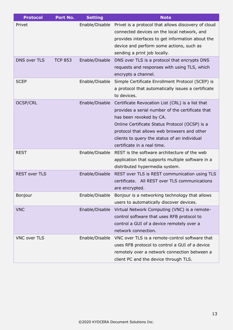| <b>Protocol</b>      | Port No.       | <b>Setting</b> | <b>Note</b>                                                                                                                                                                                                                                                                                                                    |
|----------------------|----------------|----------------|--------------------------------------------------------------------------------------------------------------------------------------------------------------------------------------------------------------------------------------------------------------------------------------------------------------------------------|
| Privet               |                | Enable/Disable | Privet is a protocol that allows discovery of cloud<br>connected devices on the local network, and<br>provides interfaces to get information about the<br>device and perform some actions, such as<br>sending a print job locally.                                                                                             |
| <b>DNS over TLS</b>  | <b>TCP 853</b> | Enable/Disable | DNS over TLS is a protocol that encrypts DNS<br>requests and responses with using TLS, which<br>encrypts a channel.                                                                                                                                                                                                            |
| <b>SCEP</b>          |                | Enable/Disable | Simple Certificate Enrollment Protocol (SCEP) is<br>a protocol that automatically issues a certificate<br>to devices.                                                                                                                                                                                                          |
| <b>OCSP/CRL</b>      |                |                | Enable/Disable Certificate Revocation List (CRL) is a list that<br>provides a serial number of the certificate that<br>has been revoked by CA.<br>Online Certificate Status Protocol (OCSP) is a<br>protocol that allows web browsers and other<br>clients to query the status of an individual<br>certificate in a real time. |
| <b>REST</b>          |                | Enable/Disable | REST is the software architecture of the web<br>application that supports multiple software in a<br>distributed hypermedia system.                                                                                                                                                                                             |
| <b>REST over TLS</b> |                |                | Enable/Disable REST over TLS is REST communication using TLS<br>certificate. All REST over TLS communications<br>are encrypted.                                                                                                                                                                                                |
| Bonjour              |                |                | Enable/Disable Bonjour is a networking technology that allows<br>users to automatically discover devices.                                                                                                                                                                                                                      |
| <b>VNC</b>           |                | Enable/Disable | Virtual Network Computing (VNC) is a remote-<br>control software that uses RFB protocol to<br>control a GUI of a device remotely over a<br>network connection.                                                                                                                                                                 |
| <b>VNC over TLS</b>  |                | Enable/Disable | VNC over TLS is a remote-control software that<br>uses RFB protocol to control a GUI of a device<br>remotely over a network connection between a<br>client PC and the device through TLS.                                                                                                                                      |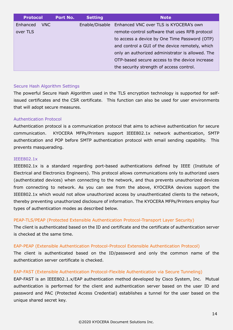| <b>Protocol</b> |      | Port No. | <b>Setting</b> | <b>Note</b>                                           |  |  |
|-----------------|------|----------|----------------|-------------------------------------------------------|--|--|
| Enhanced        | VNC. |          |                | Enable/Disable Enhanced VNC over TLS is KYOCERA's own |  |  |
| over TLS        |      |          |                | remote-control software that uses RFB protocol        |  |  |
|                 |      |          |                | to access a device by One Time Password (OTP)         |  |  |
|                 |      |          |                | and control a GUI of the device remotely, which       |  |  |
|                 |      |          |                | only an authorized administrator is allowed. The      |  |  |
|                 |      |          |                | OTP-based secure access to the device increase        |  |  |
|                 |      |          |                | the security strength of access control.              |  |  |

#### <span id="page-13-0"></span>Secure Hash Algorithm Settings

The powerful Secure Hash Algorithm used in the TLS encryption technology is supported for selfissued certificates and the CSR certificate. This function can also be used for user environments that will adopt secure measures.

#### <span id="page-13-1"></span>Authentication Protocol

Authentication protocol is a communication protocol that aims to achieve authentication for secure communication. KYOCERA MFPs/Printers support IEEE802.1x network authentication, SMTP authentication and POP before SMTP authentication protocol with email sending capability. This prevents masquerading.

#### <span id="page-13-2"></span>IEEE802.1x

IEEE802.1x is a standard regarding port-based authentications defined by IEEE (Institute of Electrical and Electronics Engineers). This protocol allows communications only to authorized users (authenticated devices) when connecting to the network, and thus prevents unauthorized devices from connecting to network. As you can see from the above, KYOCERA devices support the IEEE802.1x which would not allow unauthorized access by unauthenticated clients to the network, thereby preventing unauthorized disclosure of information. The KYOCERA MFPs/Printers employ four types of authentication modes as described below.

#### PEAP-TLS/PEAP (Protected Extensible Authentication Protocol-Transport Layer Security)

The client is authenticated based on the ID and certificate and the certificate of authentication server is checked at the same time.

#### EAP-PEAP (Extensible Authentication Protocol-Protocol Extensible Authentication Protocol)

The client is authenticated based on the ID/password and only the common name of the authentication server certificate is checked.

## EAP-FAST (Extensible Authentication Protocol-Flexible Authentication via Secure Tunneling)

EAP-FAST is an IEEE802.1.x/EAP authentication method developed by Cisco System, Inc. Mutual authentication is performed for the client and authentication server based on the user ID and password and PAC (Protected Access Credential) establishes a tunnel for the user based on the unique shared secret key.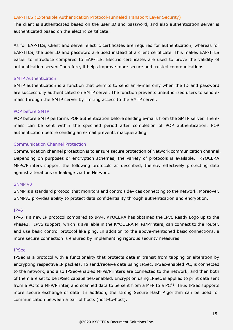#### EAP-TTLS (Extensible Authentication Protocol-Tunneled Transport Layer Security)

The client is authenticated based on the user ID and password, and also authentication server is authenticated based on the electric certificate.

As for EAP-TLS, Client and server electric certificates are required for authentication, whereas for EAP-TTLS, the user ID and password are used instead of a client certificate. This makes EAP-TTLS easier to introduce compared to EAP-TLS. Electric certificates are used to prove the validity of authentication server. Therefore, it helps improve more secure and trusted communications.

#### <span id="page-14-0"></span>SMTP Authentication

SMTP authentication is a function that permits to send an e-mail only when the ID and password are successfully authenticated on SMTP server. The function prevents unauthorized users to send emails through the SMTP server by limiting access to the SMTP server.

#### <span id="page-14-1"></span>POP before SMTP

POP before SMTP performs POP authentication before sending e-mails from the SMTP server. The emails can be sent within the specified period after completion of POP authentication. POP authentication before sending an e-mail prevents masquerading.

#### <span id="page-14-2"></span>Communication Channel Protection

Communication channel protection is to ensure secure protection of Network communication channel. Depending on purposes or encryption schemes, the variety of protocols is available. KYOCERA MFPs/Printers support the following protocols as described, thereby effectively protecting data against alterations or leakage via the Network.

#### <span id="page-14-3"></span>SNMP v3

SNMP is a standard protocol that monitors and controls devices connecting to the network. Moreover, SNMPv3 provides ability to protect data confidentiality through authentication and encryption.

#### <span id="page-14-4"></span>IPv6

IPv6 is a new IP protocol compared to IPv4. KYOCERA has obtained the IPv6 Ready Logo up to the Phase2. IPv6 support, which is available in the KYOCERA MFPs/Printers, can connect to the router, and use basic control protocol like ping. In addition to the above-mentioned basic connections, a more secure connection is ensured by implementing rigorous security measures.

#### <span id="page-14-5"></span>IPSec

IPSec is a protocol with a functionality that protects data in transit from tapping or alteration by encrypting respective IP packets. To send/receive data using IPSec, IPSec-enabled PC, is connected to the network, and also IPSec-enabled MFPs/Printers are connected to the network, and then both of them are set to be IPSec capabilities-enabled. Encryption using IPSec is applied to print data sent from a PC to a MFP/Printer, and scanned data to be sent from a MFP to a PC\*2. Thus IPSec supports more secure exchange of data. In addition, the strong Secure Hash Algorithm can be used for communication between a pair of hosts (host-to-host).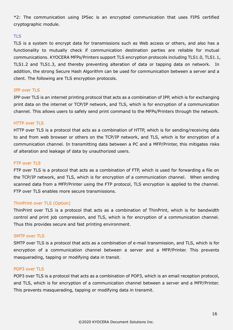\*2: The communication using IPSec is an encrypted communication that uses FIPS certified cryptographic module.

#### <span id="page-15-0"></span>**TLS**

TLS is a system to encrypt data for transmissions such as Web access or others, and also has a functionality to mutually check if communication destination parties are reliable for mutual communications. KYOCERA MFPs/Printers support TLS encryption protocols including TLS1.0, TLS1.1, TLS1.2 and TLS1.3, and thereby preventing alteration of data or tapping data on network. In addition, the strong Secure Hash Algorithm can be used for communication between a server and a client. The following are TLS encryption protocols.

#### IPP over TLS

IPP over TLS is an internet printing protocol that acts as a combination of IPP, which is for exchanging print data on the internet or TCP/IP network, and TLS, which is for encryption of a communication channel. This allows users to safely send print command to the MFPs/Printers through the network.

#### HTTP over TLS

HTTP over TLS is a protocol that acts as a combination of HTTP, which is for sending/receiving data to and from web browser or others on the TCP/IP network, and TLS, which is for encryption of a communication channel. In transmitting data between a PC and a MFP/Printer, this mitigates risks of alteration and leakage of data by unauthorized users.

#### FTP over TLS

FTP over TLS is a protocol that acts as a combination of FTP, which is used for forwarding a file on the TCP/IP network, and TLS, which is for encryption of a communication channel. When sending scanned data from a MFP/Printer using the FTP protocol, TLS encryption is applied to the channel. FTP over TLS enables more secure transmissions.

#### ThinPrint over TLS (Option)

ThinPrint over TLS is a protocol that acts as a combination of ThinPrint, which is for bandwidth control and print job compression, and TLS, which is for encryption of a communication channel. Thus this provides secure and fast printing environment.

#### SMTP over TLS

SMTP over TLS is a protocol that acts as a combination of e-mail transmission, and TLS, which is for encryption of a communication channel between a server and a MFP/Printer. This prevents masquerading, tapping or modifying data in transit.

#### POP3 over TLS

POP3 over TLS is a protocol that acts as a combination of POP3, which is an email reception protocol, and TLS, which is for encryption of a communication channel between a server and a MFP/Printer. This prevents masquerading, tapping or modifying data in transmit.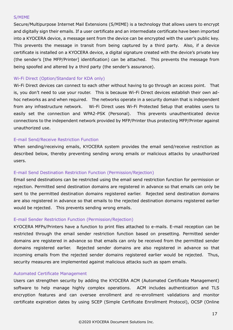#### <span id="page-16-0"></span>S/MIME

Secure/Multipurpose Internet Mail Extensions (S/MIME) is a technology that allows users to encrypt and digitally sign their emails. If a user certificate and an intermediate certificate have been imported into a KYOCERA device, a message sent from the device can be encrypted with the user's public key. This prevents the message in transit from being captured by a third party. Also, if a device certificate is installed on a KYOCERA device, a digital signature created with the device's private key (the sender's [the MFP/Printer] identification) can be attached. This prevents the message from being spoofed and altered by a third party (the sender's assurance).

## <span id="page-16-1"></span>Wi-Fi Direct (Option/Standard for KDA only)

Wi-Fi Direct devices can connect to each other without having to go through an access point. That is, you don't need to use your router. This is because Wi-Fi Direct devices establish their own adhoc networks as and when required. The networks operate in a security domain that is independent from any infrastructure network. Wi-Fi Direct uses Wi-Fi Protected Setup that enables users to easily set the connection and WPA2-PSK (Personal). This prevents unauthenticated device connections to the independent network provided by MFP/Printer thus protecting MFP/Printer against unauthorized use.

#### <span id="page-16-2"></span>E-mail Send/Receive Restriction Function

When sending/receiving emails, KYOCERA system provides the email send/receive restriction as described below, thereby preventing sending wrong emails or malicious attacks by unauthorized users.

## <span id="page-16-3"></span>E-mail Send Destination Restriction Function (Permission/Rejection)

Email send destinations can be restricted using the email send restriction function for permission or rejection. Permitted send destination domains are registered in advance so that emails can only be sent to the permitted destination domains registered earlier. Rejected send destination domains are also registered in advance so that emails to the rejected destination domains registered earlier would be rejected. This prevents sending wrong emails.

## <span id="page-16-4"></span>E-mail Sender Restriction Function (Permission/Rejection)

KYOCERA MFPs/Printers have a function to print files attached to e-mails. E-mail reception can be restricted through the email sender restriction function based on presetting. Permitted sender domains are registered in advance so that emails can only be received from the permitted sender domains registered earlier. Rejected sender domains are also registered in advance so that incoming emails from the rejected sender domains registered earlier would be rejected. Thus, security measures are implemented against malicious attacks such as spam emails.

#### <span id="page-16-5"></span>Automated Certificate Management

Users can strengthen security by adding the KYOCERA ACM (Automated Certificate Management) software to help manage highly complex operations. ACM includes authentication and TLS encryption features and can oversee enrollment and re-enrollment validations and monitor certificate expiration dates by using SCEP (Simple Certificate Enrollment Protocol), OCSP (Online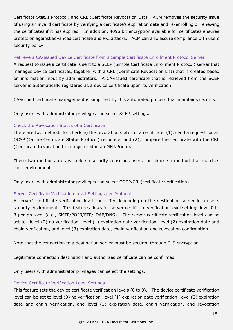Certificate Status Protocol) and CRL (Certificate Revocation List). ACM removes the security issue of using an invalid certificate by verifying a certificate's expiration date and re-enrolling or renewing the certificates if it has expired. In addition, 4096 bit encryption available for certificates ensures protection against advanced certificate and PKI attacks. ACM can also assure compliance with users' security policy

## <span id="page-17-0"></span>Retrieve a CA-Issued Device Certificate from a Simple Certificate Enrollment Protocol Server

A request to issue a certificate is sent to a SCEP (Simple Certificate Enrollment Protocol) server that manages device certificates, together with a CRL (Certificate Revocation List) that is created based on information input by administrators. A CA-issued certificate that is retrieved from the SCEP server is automatically registered as a device certificate upon its verification.

CA-issued certificate management is simplified by this automated process that maintains security.

Only users with administrator privileges can select SCEP settings.

## <span id="page-17-1"></span>Check the Revocation Status of a Certificate

There are two methods for checking the revocation status of a certificate. (1), send a request for an OCSP (Online Certificate Status Protocol) responder and (2), compare the certificate with the CRL (Certificate Revocation List) registered in an MFP/Printer.

These two methods are available so security-conscious users can choose a method that matches their environment.

Only users with administrator privileges can select OCSP/CRL(certificate verification).

## <span id="page-17-2"></span>Server Certificate Verification Level Settings per Protocol

A server's certificate verification level can differ depending on the destination server in a user's security environment. This feature allows for server certificate verification level settings level 0 to 3 per protocol (e.g., SMTP/POP3/FTP/LDAP/DNS). The server certificate verification level can be set to level (0) no verification, level (1) expiration date verification, level (2) expiration date and chain verification, and level (3) expiration date, chain verification and revocation confirmation.

Note that the connection to a destination server must be secured through TLS encryption.

Legitimate connection destination and authorized certificate can be confirmed.

<span id="page-17-3"></span>Only users with administrator privileges can select the settings.

## Device Certificate Verification Level Settings

This feature sets the device certificate verification levels (0 to 3). The device certificate verification level can be set to level (0) no verification, level (1) expiration date verification, level (2) expiration date and chain verification, and level (3) expiration date, chain verification, and revocation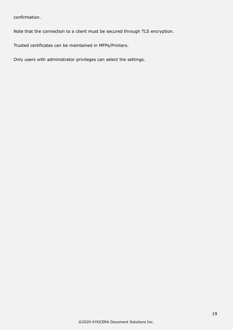confirmation.

Note that the connection to a client must be secured through TLS encryption.

Trusted certificates can be maintained in MFPs/Printers.

Only users with administrator privileges can select the settings.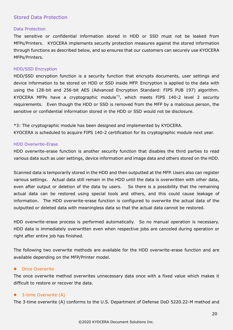## <span id="page-19-1"></span><span id="page-19-0"></span>Stored Data Protection

#### Data Protection

The sensitive or confidential information stored in HDD or SSD must not be leaked from MFPs/Printers. KYOCERA implements security protection measures against the stored information through functions as described below, and so ensures that our customers can securely use KYOCERA MFPs/Printers.

#### <span id="page-19-2"></span>HDD/SSD Encryption

HDD/SSD encryption function is a security function that encrypts documents, user settings and device information to be stored on HDD or SSD inside MFP. Encryption is applied to the data with using the 128-bit and 256-bit AES (Advanced Encryption Standard: FIPS PUB 197) algorithm. KYOCERA MFPs have a cryptographic module\*3, which meets FIPS 140-2 level 2 security requirements. Even though the HDD or SSD is removed from the MFP by a malicious person, the sensitive or confidential information stored in the HDD or SSD would not be disclosure.

\*3: The cryptographic module has been designed and implemented by KYOCERA.

<span id="page-19-3"></span>KYOCERA is scheduled to acquire FIPS 140-2 certification for its cryptographic module next year.

#### HDD Overwrite-Erase

HDD overwrite-erase function is another security function that disables the third parties to read various data such as user settings, device information and image data and others stored on the HDD.

Scanned data is temporarily stored in the HDD and then outputted at the MFP. Users also can register various settings. Actual data still remain in the HDD until the data is overwritten with other data, even after output or deletion of the data by users. So there is a possibility that the remaining actual data can be restored using special tools and others, and this could cause leakage of information. The HDD overwrite-erase function is configured to overwrite the actual data of the outputted or deleted data with meaningless data so that the actual data cannot be restored.

HDD overwrite-erase process is performed automatically. So no manual operation is necessary. HDD data is immediately overwritten even when respective jobs are canceled during operation or right after entire job has finished.

The following two overwrite methods are available for the HDD overwrite-erase function and are available depending on the MFP/Printer model.

#### ⚫ Once Overwrite

The once overwrite method overwrites unnecessary data once with a fixed value which makes it difficult to restore or recover the data.

#### ⚫ 3-time Overwrite (A)

The 3-time overwrite (A) conforms to the U.S. Department of Defense DoD 5220.22-M method and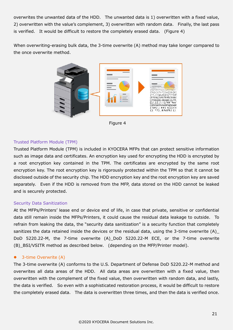overwrites the unwanted data of the HDD. The unwanted data is 1) overwritten with a fixed value, 2) overwritten with the value's complement, 3) overwritten with random data. Finally, the last pass is verified. It would be difficult to restore the completely erased data. (Figure 4)

When overwriting-erasing bulk data, the 3-time overwrite (A) method may take longer compared to the once overwrite method.



Figure 4

## <span id="page-20-0"></span>Trusted Platform Module (TPM)

Trusted Platform Module (TPM) is included in KYOCERA MFPs that can protect sensitive information such as image data and certificates. An encryption key used for encrypting the HDD is encrypted by a root encryption key contained in the TPM. The certificates are encrypted by the same root encryption key. The root encryption key is rigorously protected within the TPM so that it cannot be disclosed outside of the security chip. The HDD encryption key and the root encryption key are saved separately. Even if the HDD is removed from the MFP, data stored on the HDD cannot be leaked and is securely protected.

#### <span id="page-20-1"></span>Security Data Sanitization

At the MFPs/Printers' lease end or device end of life, in case that private, sensitive or confidential data still remain inside the MFPs/Printers, it could cause the residual data leakage to outside. To refrain from leaking the data, the "security data sanitization" is a security function that completely sanitizes the data retained inside the devices or the residual data, using the 3-time overwrite (A)\_ DoD 5220.22-M, the 7-time overwrite (A)\_DoD 5220.22-M ECE, or the 7-time overwrite (B) BSI/VSITR method as described below. (depending on the MFP/Printer model).

#### ● 3-time Overwrite (A)

The 3-time overwrite (A) conforms to the U.S. Department of Defense DoD 5220.22-M method and overwrites all data areas of the HDD. All data areas are overwritten with a fixed value, then overwritten with the complement of the fixed value, then overwritten with random data, and lastly, the data is verified. So even with a sophisticated restoration process, it would be difficult to restore the completely erased data. The data is overwritten three times, and then the data is verified once.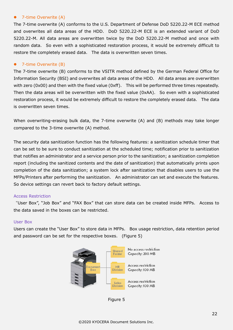#### ● 7-time Overwrite (A)

The 7-time overwrite (A) conforms to the U.S. Department of Defense DoD 5220.22-M ECE method and overwrites all data areas of the HDD. DoD 5220.22-M ECE is an extended variant of DoD 5220.22-M. All data areas are overwritten twice by the DoD 5220.22-M method and once with random data. So even with a sophisticated restoration process, it would be extremely difficult to restore the completely erased data. The data is overwritten seven times.

#### ● 7-time Overwrite (B)

The 7-time overwrite (B) conforms to the VSITR method defined by the German Federal Office for Information Security (BSI) and overwrites all data areas of the HDD. All data areas are overwritten with zero (0x00) and then with the fixed value (0xff). This will be performed three times repeatedly. Then the data areas will be overwritten with the fixed value (0xAA). So even with a sophisticated restoration process, it would be extremely difficult to restore the completely erased data. The data is overwritten seven times.

When overwriting-erasing bulk data, the 7-time overwrite (A) and (B) methods may take longer compared to the 3-time overwrite (A) method.

The security data sanitization function has the following features: a sanitization schedule timer that can be set to be sure to conduct sanitization at the scheduled time; notification prior to sanitization that notifies an administrator and a service person prior to the sanitization; a sanitization completion report (including the sanitized contents and the date of sanitization) that automatically prints upon completion of the data sanitization; a system lock after sanitization that disables users to use the MFPs/Printers after performing the sanitization. An administrator can set and execute the features. So device settings can revert back to factory default settings.

#### <span id="page-21-0"></span>Access Restriction

"User Box", "Job Box" and "FAX Box" that can store data can be created inside MFPs. Access to the data saved in the boxes can be restricted.

#### <span id="page-21-1"></span>User Box

Users can create the "User Box" to store data in MFPs. Box usage restriction, data retention period and password can be set for the respective boxes. (Figure 5)



Figure 5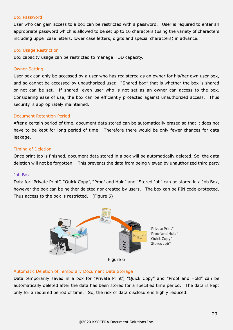#### Box Password

User who can gain access to a box can be restricted with a password. User is required to enter an appropriate password which is allowed to be set up to 16 characters (using the variety of characters including upper case letters, lower case letters, digits and special characters) in advance.

#### Box Usage Restriction

Box capacity usage can be restricted to manage HDD capacity.

#### Owner Setting

User box can only be accessed by a user who has registered as an owner for his/her own user box, and so cannot be accessed by unauthorized user. "Shared box" that is whether the box is shared or not can be set. If shared, even user who is not set as an owner can access to the box. Considering ease of use, the box can be efficiently protected against unauthorized access. Thus security is appropriately maintained.

#### Document Retention Period

After a certain period of time, document data stored can be automatically erased so that it does not have to be kept for long period of time. Therefore there would be only fewer chances for data leakage.

#### Timing of Deletion

Once print job is finished, document data stored in a box will be automatically deleted. So, the data deletion will not be forgotten. This prevents the data from being viewed by unauthorized third party.

#### <span id="page-22-0"></span>Job Box

Data for "Private Print", "Quick Copy", "Proof and Hold" and "Stored Job" can be stored in a Job Box, however the box can be neither deleted nor created by users. The box can be PIN code-protected. Thus access to the box is restricted. (Figure 6)





Data temporarily saved in a box for "Private Print", "Quick Copy" and "Proof and Hold" can be automatically deleted after the data has been stored for a specified time period. The data is kept only for a required period of time. So, the risk of data disclosure is highly reduced.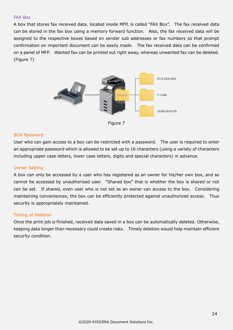#### <span id="page-23-0"></span>FAX Box

A box that stores fax received data, located inside MFP, is called "FAX Box". The fax received data can be stored in the fax box using a memory forward function. Also, the fax received data will be assigned to the respective boxes based on sender sub addresses or fax numbers so that prompt confirmation on important document can be easily made. The fax received data can be confirmed on a panel of MFP. Wanted fax can be printed out right away, whereas unwanted fax can be deleted. (Figure 7)



Figure 7

#### BOX Password

User who can gain access to a box can be restricted with a password. The user is required to enter an appropriate password which is allowed to be set up to 16 characters (using a variety of characters including upper case letters, lower case letters, digits and special characters) in advance.

#### Owner Setting

A box can only be accessed by a user who has registered as an owner for his/her own box, and so cannot be accessed by unauthorized user. "Shared box" that is whether the box is shared or not can be set. If shared, even user who is not set as an owner can access to the box. Considering maintaining conveniences, the box can be efficiently protected against unauthorized access. Thus security is appropriately maintained.

#### Timing of Deletion

Once the print job is finished, received data saved in a box can be automatically deleted. Otherwise, keeping data longer than necessary could create risks. Timely deletion would help maintain efficient security condition.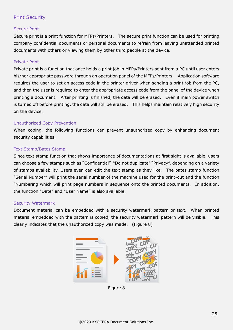## <span id="page-24-0"></span>Print Security

## <span id="page-24-1"></span>Secure Print

Secure print is a print function for MFPs/Printers. The secure print function can be used for printing company confidential documents or personal documents to refrain from leaving unattended printed documents with others or viewing them by other third people at the device.

#### <span id="page-24-2"></span>Private Print

Private print is a function that once holds a print job in MFPs/Printers sent from a PC until user enters his/her appropriate password through an operation panel of the MFPs/Printers. Application software requires the user to set an access code in the printer driver when sending a print job from the PC, and then the user is required to enter the appropriate access code from the panel of the device when printing a document. After printing is finished, the data will be erased. Even if main power switch is turned off before printing, the data will still be erased. This helps maintain relatively high security on the device.

#### <span id="page-24-3"></span>Unauthorized Copy Prevention

When coping, the following functions can prevent unauthorized copy by enhancing document security capabilities.

## <span id="page-24-4"></span>Text Stamp/Bates Stamp

Since text stamp function that shows importance of documentations at first sight is available, users can choose a few stamps such as "Confidential", "Do not duplicate" "Privacy", depending on a variety of stamps availability. Users even can edit the text stamp as they like. The bates stamp function "Serial Number" will print the serial number of the machine used for the print-out and the function "Numbering which will print page numbers in sequence onto the printed documents. In addition, the function "Date" and "User Name" is also available.

#### <span id="page-24-5"></span>Security Watermark

Document material can be embedded with a security watermark pattern or text. When printed material embedded with the pattern is copied, the security watermark pattern will be visible. This clearly indicates that the unauthorized copy was made. (Figure 8)



Figure 8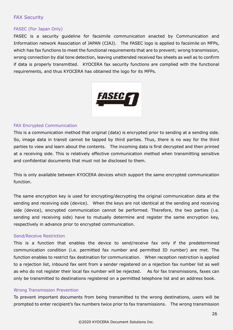## <span id="page-25-1"></span><span id="page-25-0"></span>FAX Security

#### FASEC (For Japan Only)

FASEC is a security guideline for facsimile communication enacted by Communication and Information network Association of JAPAN (CIAJ). The FASEC logo is applied to facsimile on MFPs, which has fax functions to meet the functional requirements that are to prevent; wrong transmission, wrong connection by dial tone detection, leaving unattended received fax sheets as well as to confirm if data is properly transmitted. KYOCERA fax security functions are complied with the functional requirements, and thus KYOCERA has obtained the logo for its MFPs.



#### <span id="page-25-2"></span>FAX Encrypted Communication

This is a communication method that original (data) is encrypted prior to sending at a sending side. So, image data in transit cannot be tapped by third parties. Thus, there is no way for the third parties to view and learn about the contents. The incoming data is first decrypted and then printed at a receiving side. This is relatively effective communication method when transmitting sensitive and confidential documents that must not be disclosed to them.

This is only available between KYOCERA devices which support the same encrypted communication function.

The same encryption key is used for encrypting/decrypting the original communication data at the sending and receiving side (device). When the keys are not identical at the sending and receiving side (device), encrypted communication cannot be performed. Therefore, the two parties (i.e. sending and receiving side) have to mutually determine and register the same encryption key, respectively in advance prior to encrypted communication.

#### <span id="page-25-3"></span>Send/Receive Restriction

This is a function that enables the device to send/receive fax only if the predetermined communication condition (i.e. permitted fax number and permitted ID number) are met. The function enables to restrict fax destination for communication. When reception restriction is applied to a rejection list, inbound fax sent from a sender registered on a rejection fax number list as well as who do not register their local fax number will be rejected. As for fax transmissions, faxes can only be transmitted to destinations registered on a permitted telephone list and an address book.

#### <span id="page-25-4"></span>Wrong Transmission Prevention

To prevent important documents from being transmitted to the wrong destinations, users will be prompted to enter recipient's fax numbers twice prior to fax transmissions. The wrong transmission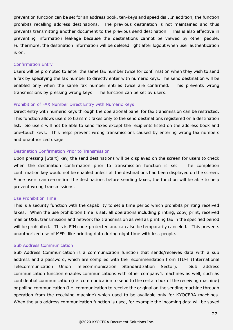prevention function can be set for an address book, ten-keys and speed dial. In addition, the function prohibits recalling address destinations. The previous destination is not maintained and thus prevents transmitting another document to the previous send destination. This is also effective in preventing information leakage because the destinations cannot be viewed by other people. Furthermore, the destination information will be deleted right after logout when user authentication is on.

#### <span id="page-26-0"></span>Confirmation Entry

Users will be prompted to enter the same fax number twice for confirmation when they wish to send a fax by specifying the fax number to directly enter with numeric keys. The send destination will be enabled only when the same fax number entries twice are confirmed. This prevents wrong transmissions by pressing wrong keys. The function can be set by users.

## <span id="page-26-1"></span>Prohibition of FAX Number Direct Entry with Numeric Keys

Direct entry with numeric keys through the operational panel for fax transmission can be restricted. This function allows users to transmit faxes only to the send destinations registered on a destination list. So users will not be able to send faxes except the recipients listed on the address book and one-touch keys. This helps prevent wrong transmissions caused by entering wrong fax numbers and unauthorized usage.

#### <span id="page-26-2"></span>Destination Confirmation Prior to Transmission

Upon pressing [Start] key, the send destinations will be displayed on the screen for users to check when the destination confirmation prior to transmission function is set. The completion confirmation key would not be enabled unless all the destinations had been displayed on the screen. Since users can re-confirm the destinations before sending faxes, the function will be able to help prevent wrong transmissions.

#### <span id="page-26-3"></span>Use Prohibition Time

This is a security function with the capability to set a time period which prohibits printing received faxes. When the use prohibition time is set, all operations including printing, copy, print, received mail or USB, transmission and network fax transmission as well as printing fax in the specified period will be prohibited. This is PIN code-protected and can also be temporarily canceled. This prevents unauthorized use of MFPs like printing data during night time with less people.

#### <span id="page-26-4"></span>Sub Address Communication

Sub Address Communication is a communication function that sends/receives data with a sub address and a password, which are complied with the recommendation from ITU-T (International Telecommunication Union Telecommunication Standardization Sector). Sub address communication function enables communications with other company's machines as well, such as confidential communication (i.e. communication to send to the certain box of the receiving machine) or polling communication (i.e. communication to receive the original on the sending machine through operation from the receiving machine) which used to be available only for KYOCERA machines. When the sub address communication function is used, for example the incoming data will be saved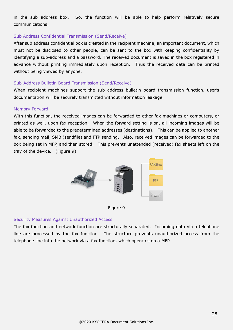in the sub address box. So, the function will be able to help perform relatively secure communications.

#### <span id="page-27-0"></span>Sub Address Confidential Transmission (Send/Receive)

After sub address confidential box is created in the recipient machine, an important document, which must not be disclosed to other people, can be sent to the box with keeping confidentiality by identifying a sub-address and a password. The received document is saved in the box registered in advance without printing immediately upon reception. Thus the received data can be printed without being viewed by anyone.

#### <span id="page-27-1"></span>Sub-Address Bulletin Board Transmission (Send/Receive)

When recipient machines support the sub address bulletin board transmission function, user's documentation will be securely transmitted without information leakage.

#### <span id="page-27-2"></span>Memory Forward

With this function, the received images can be forwarded to other fax machines or computers, or printed as well, upon fax reception. When the forward setting is on, all incoming images will be able to be forwarded to the predetermined addresses (destinations). This can be applied to another fax, sending mail, SMB (sendfile) and FTP sending. Also, received images can be forwarded to the box being set in MFP, and then stored. This prevents unattended (received) fax sheets left on the tray of the device. (Figure 9)





## <span id="page-27-3"></span>Security Measures Against Unauthorized Access

The fax function and network function are structurally separated. Incoming data via a telephone line are processed by the fax function. The structure prevents unauthorized access from the telephone line into the network via a fax function, which operates on a MFP.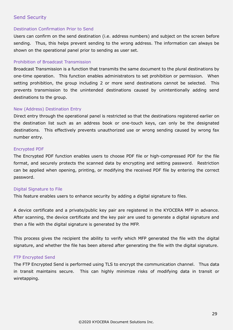## <span id="page-28-1"></span><span id="page-28-0"></span>Send Security

#### Destination Confirmation Prior to Send

Users can confirm on the send destination (i.e. address numbers) and subject on the screen before sending. Thus, this helps prevent sending to the wrong address. The information can always be shown on the operational panel prior to sending as user set.

#### <span id="page-28-2"></span>Prohibition of Broadcast Transmission

Broadcast Transmission is a function that transmits the same document to the plural destinations by one-time operation. This function enables administrators to set prohibition or permission. When setting prohibition, the group including 2 or more send destinations cannot be selected. This prevents transmission to the unintended destinations caused by unintentionally adding send destinations to the group.

#### <span id="page-28-3"></span>New (Address) Destination Entry

Direct entry through the operational panel is restricted so that the destinations registered earlier on the destination list such as an address book or one-touch keys, can only be the designated destinations. This effectively prevents unauthorized use or wrong sending caused by wrong fax number entry.

#### <span id="page-28-4"></span>Encrypted PDF

The Encrypted PDF function enables users to choose PDF file or high-compressed PDF for the file format, and securely protects the scanned data by encrypting and setting password. Restriction can be applied when opening, printing, or modifying the received PDF file by entering the correct password.

#### <span id="page-28-5"></span>Digital Signature to File

This feature enables users to enhance security by adding a digital signature to files.

A device certificate and a private/public key pair are registered in the KYOCERA MFP in advance. After scanning, the device certificate and the key pair are used to generate a digital signature and then a file with the digital signature is generated by the MFP.

This process gives the recipient the ability to verify which MFP generated the file with the digital signature, and whether the file has been altered after generating the file with the digital signature.

#### <span id="page-28-6"></span>FTP Encrypted Send

The FTP Encrypted Send is performed using TLS to encrypt the communication channel. Thus data in transit maintains secure. This can highly minimize risks of modifying data in transit or wiretapping.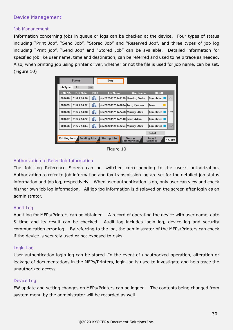## <span id="page-29-1"></span><span id="page-29-0"></span>Device Management

#### Job Management

Information concerning jobs in queue or logs can be checked at the device. Four types of status including "Print Job", "Send Job", "Stored Job" and "Reserved Job", and three types of job log including "Print job", "Send Job" and "Stored Job" can be available. Detailed information for specified job like user name, time and destination, can be referred and used to help trace as needed. Also, when printing job using printer driver, whether or not the file is used for job name, can be set. (Figure 10)

| <b>Status</b>                               | Log                                  |                  |                           |         |
|---------------------------------------------|--------------------------------------|------------------|---------------------------|---------|
| All<br>Job Type<br>$\prec$                  |                                      |                  |                           |         |
| Job No.<br><b>End Date</b>                  | <b>Type</b><br><b>Job Name</b>       | <b>User Name</b> | <b>Result</b>             |         |
| 01/25 14:38<br>003610                       | G<br>doc20200125143199 Hanako, Osaka |                  | Completed                 |         |
| 01/25 14:32<br>003609                       | G<br>doc20200125143034 Taro, Kyocera |                  | Error                     |         |
| 01/25 14:30<br>003608                       | G<br>doc20200125142458 Murray, Alex  |                  | Completed                 | 1/20    |
| 01/25 14:22<br>003607                       | G<br>doc20200125142310 Isaac, Adam   |                  | Completed                 |         |
| 01/2514:14 <br>003606                       | doc20200125142253 Murray, Alex<br>G  |                  | Completed                 |         |
|                                             |                                      |                  | <b>Detail</b>             |         |
| <b>Sending Jobs</b><br><b>Printing Jobs</b> | <b>Storing Jobs</b>                  | Device/          | Paper/<br><b>Supplies</b> | e Close |

Figure 10

#### <span id="page-29-2"></span>Authorization to Refer Job Information

The Job Log Reference Screen can be switched corresponding to the user's authorization. Authorization to refer to job information and fax transmission log are set for the detailed job status information and job log, respectively. When user authentication is on, only user can view and check his/her own job log information. All job jog information is displayed on the screen after login as an administrator.

#### <span id="page-29-3"></span>Audit Log

Audit log for MFPs/Printers can be obtained. A record of operating the device with user name, date & time and its result can be checked. Audit log includes login log, device log and security communication error log. By referring to the log, the administrator of the MFPs/Printers can check if the device is securely used or not exposed to risks.

#### <span id="page-29-4"></span>Login Log

User authentication login log can be stored. In the event of unauthorized operation, alteration or leakage of documentations in the MFPs/Printers, login log is used to investigate and help trace the unauthorized access.

#### <span id="page-29-5"></span>Device Log

FW update and setting changes on MFPs/Printers can be logged. The contents being changed from system menu by the administrator will be recorded as well.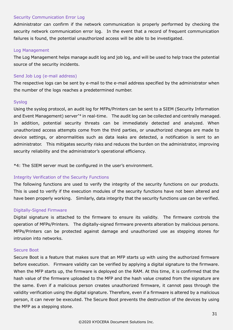#### <span id="page-30-0"></span>Security Communication Error Log

Administrator can confirm if the network communication is properly performed by checking the security network communication error log. In the event that a record of frequent communication failures is found, the potential unauthorized access will be able to be investigated.

#### <span id="page-30-1"></span>Log Management

The Log Management helps manage audit log and job log, and will be used to help trace the potential source of the security incidents.

#### <span id="page-30-2"></span>Send Job Log (e-mail address)

The respective logs can be sent by e-mail to the e-mail address specified by the administrator when the number of the logs reaches a predetermined number.

#### <span id="page-30-3"></span>Syslog

Using the syslog protocol, an audit log for MFPs/Printers can be sent to a SIEM (Security Information and Event Management) server<sup>\*4</sup> in real-time. The audit log can be collected and centrally managed. In addition, potential security threats can be immediately detected and analyzed. When unauthorized access attempts come from the third parties, or unauthorized changes are made to device settings, or abnormalities such as data leaks are detected, a notification is sent to an administrator. This mitigates security risks and reduces the burden on the administrator, improving security reliability and the administrator's operational efficiency.

\*4: The SIEM server must be configured in the user's environment.

## <span id="page-30-4"></span>Integrity Verification of the Security Functions

The following functions are used to verify the integrity of the security functions on our products. This is used to verify if the execution modules of the security functions have not been altered and have been properly working. Similarly, data integrity that the security functions use can be verified.

#### <span id="page-30-5"></span>Digitally-Signed Firmware

Digital signature is attached to the firmware to ensure its validity. The firmware controls the operation of MFPs/Printers. The digitally-signed firmware prevents alteration by malicious persons. MFPs/Printers can be protected against damage and unauthorized use as stepping stones for intrusion into networks.

#### <span id="page-30-6"></span>Secure Boot

Secure Boot is a feature that makes sure that an MFP starts up with using the authorized firmware before execution. Firmware validity can be verified by applying a digital signature to the firmware. When the MFP starts up, the firmware is deployed on the RAM. At this time, it is confirmed that the hash value of the firmware uploaded to the MFP and the hash value created from the signature are the same. Even if a malicious person creates unauthorized firmware, it cannot pass through the validity verification using the digital signature. Therefore, even if a firmware is altered by a malicious person, it can never be executed. The Secure Boot prevents the destruction of the devices by using the MFP as a stepping stone.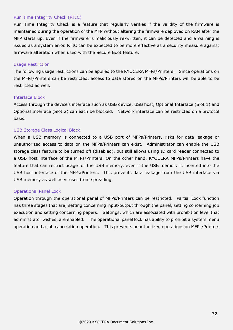#### <span id="page-31-0"></span>Run Time Integrity Check (RTIC)

Run Time Integrity Check is a feature that regularly verifies if the validity of the firmware is maintained during the operation of the MFP without altering the firmware deployed on RAM after the MFP starts up. Even if the firmware is maliciously re-written, it can be detected and a warning is issued as a system error. RTIC can be expected to be more effective as a security measure against firmware alteration when used with the Secure Boot feature.

#### <span id="page-31-1"></span>Usage Restriction

The following usage restrictions can be applied to the KYOCERA MFPs/Printers. Since operations on the MFPs/Printers can be restricted, access to data stored on the MFPs/Printers will be able to be restricted as well.

#### <span id="page-31-2"></span>Interface Block

Access through the device's interface such as USB device, USB host, Optional Interface (Slot 1) and Optional Interface (Slot 2) can each be blocked. Network interface can be restricted on a protocol basis.

#### <span id="page-31-3"></span>USB Storage Class Logical Block

When a USB memory is connected to a USB port of MFPs/Printers, risks for data leakage or unauthorized access to data on the MFPs/Printers can exist. Administrator can enable the USB storage class feature to be turned off (disabled), but still allows using ID card reader connected to a USB host interface of the MFPs/Printers. On the other hand, KYOCERA MFPs/Printers have the feature that can restrict usage for the USB memory, even if the USB memory is inserted into the USB host interface of the MFPs/Printers. This prevents data leakage from the USB interface via USB memory as well as viruses from spreading.

#### <span id="page-31-4"></span>Operational Panel Lock

Operation through the operational panel of MFPs/Printers can be restricted. Partial Lock function has three stages that are; setting concerning input/output through the panel, setting concerning job execution and setting concerning papers. Settings, which are associated with prohibition level that administrator wishes, are enabled. The operational panel lock has ability to prohibit a system menu operation and a job cancelation operation. This prevents unauthorized operations on MFPs/Printers